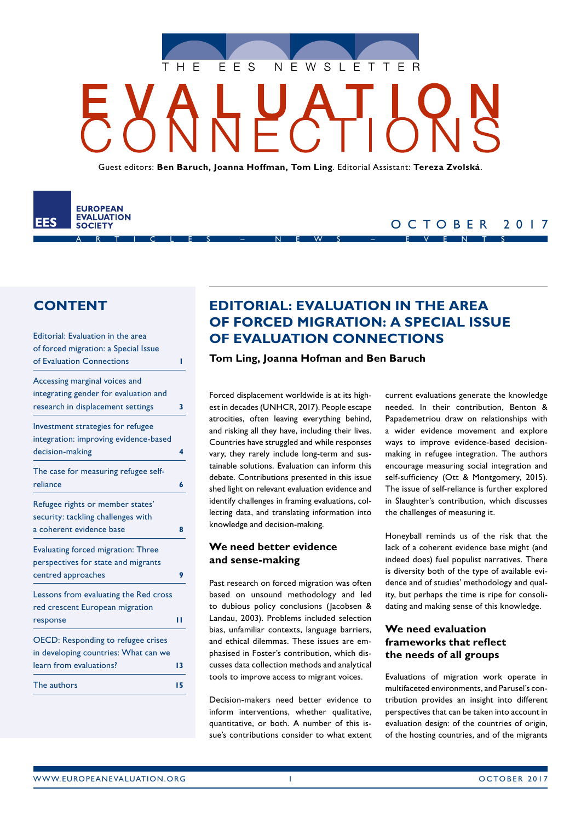

Guest editors: **Ben Baruch, Joanna Hoffman, Tom Ling**. Editorial Assistant: **Tereza Zvolská**.



# OCTOBER 2017

# **CONTENT**

| Editorial: Evaluation in the area         |    |
|-------------------------------------------|----|
| of forced migration: a Special Issue      |    |
| of Evaluation Connections                 | ı  |
| Accessing marginal voices and             |    |
| integrating gender for evaluation and     |    |
| research in displacement settings         | 3  |
| Investment strategies for refugee         |    |
| integration: improving evidence-based     |    |
| decision-making                           | 4  |
| The case for measuring refugee self-      |    |
| reliance                                  | 6  |
| Refugee rights or member states'          |    |
| security: tackling challenges with        |    |
| a coherent evidence base                  | Զ  |
| <b>Evaluating forced migration: Three</b> |    |
| perspectives for state and migrants       |    |
| centred approaches                        | 9  |
| Lessons from evaluating the Red cross     |    |
| red crescent European migration           |    |
| response                                  | Н  |
| <b>OECD: Responding to refugee crises</b> |    |
| in developing countries: What can we      |    |
| learn from evaluations?                   | 13 |
| The authors                               | 15 |
|                                           |    |

# **EDITORIAL: EVALUATION IN THE AREA OF FORCED MIGRATION: A SPECIAL ISSUE OF EVALUATION CONNECTIONS**

### **Tom Ling, Joanna Hofman and Ben Baruch**

Forced displacement worldwide is at its highest in decades (UNHCR, 2017). People escape atrocities, often leaving everything behind, and risking all they have, including their lives. Countries have struggled and while responses vary, they rarely include long-term and sustainable solutions. Evaluation can inform this debate. Contributions presented in this issue shed light on relevant evaluation evidence and identify challenges in framing evaluations, collecting data, and translating information into knowledge and decision-making.

# **We need better evidence and sense-making**

Past research on forced migration was often based on unsound methodology and led to dubious policy conclusions (Jacobsen & Landau, 2003). Problems included selection bias, unfamiliar contexts, language barriers, and ethical dilemmas. These issues are emphasised in Foster's contribution, which discusses data collection methods and analytical tools to improve access to migrant voices.

Decision-makers need better evidence to inform interventions, whether qualitative, quantitative, or both. A number of this issue's contributions consider to what extent current evaluations generate the knowledge needed. In their contribution, Benton & Papademetriou draw on relationships with a wider evidence movement and explore ways to improve evidence-based decisionmaking in refugee integration. The authors encourage measuring social integration and self-sufficiency (Ott & Montgomery, 2015). The issue of self-reliance is further explored in Slaughter's contribution, which discusses the challenges of measuring it.

Honeyball reminds us of the risk that the lack of a coherent evidence base might (and indeed does) fuel populist narratives. There is diversity both of the type of available evidence and of studies' methodology and quality, but perhaps the time is ripe for consolidating and making sense of this knowledge.

### **We need evaluation frameworks that reflect the needs of all groups**

Evaluations of migration work operate in multifaceted environments, and Parusel's contribution provides an insight into different perspectives that can be taken into account in evaluation design: of the countries of origin, of the hosting countries, and of the migrants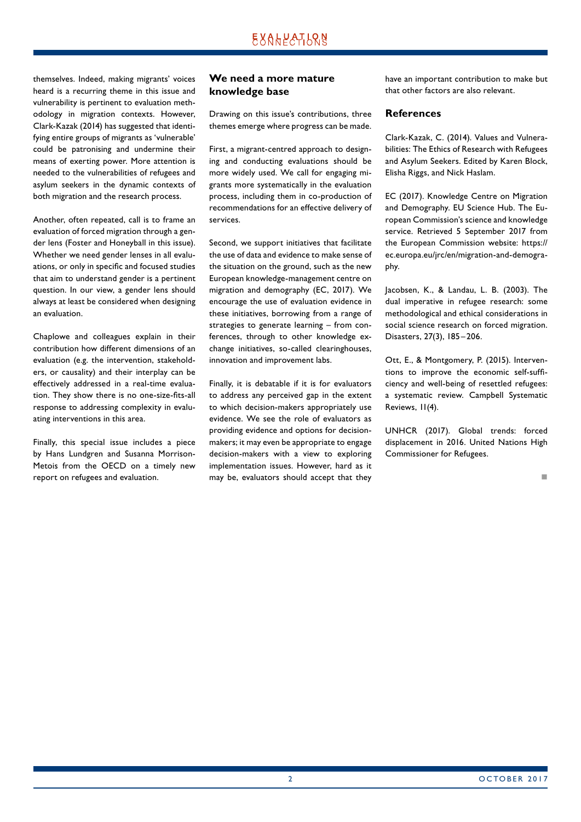themselves. Indeed, making migrants' voices heard is a recurring theme in this issue and vulnerability is pertinent to evaluation methodology in migration contexts. However, Clark-Kazak (2014) has suggested that identifying entire groups of migrants as 'vulnerable' could be patronising and undermine their means of exerting power. More attention is needed to the vulnerabilities of refugees and asylum seekers in the dynamic contexts of both migration and the research process.

Another, often repeated, call is to frame an evaluation of forced migration through a gender lens (Foster and Honeyball in this issue). Whether we need gender lenses in all evaluations, or only in specific and focused studies that aim to understand gender is a pertinent question. In our view, a gender lens should always at least be considered when designing an evaluation.

Chaplowe and colleagues explain in their contribution how different dimensions of an evaluation (e.g. the intervention, stakeholders, or causality) and their interplay can be effectively addressed in a real-time evaluation. They show there is no one-size-fits-all response to addressing complexity in evaluating interventions in this area.

Finally, this special issue includes a piece by Hans Lundgren and Susanna Morrison-Metois from the OECD on a timely new report on refugees and evaluation.

### **We need a more mature knowledge base**

Drawing on this issue's contributions, three themes emerge where progress can be made.

First, a migrant-centred approach to designing and conducting evaluations should be more widely used. We call for engaging migrants more systematically in the evaluation process, including them in co-production of recommendations for an effective delivery of services.

Second, we support initiatives that facilitate the use of data and evidence to make sense of the situation on the ground, such as the new European knowledge-management centre on migration and demography (EC, 2017). We encourage the use of evaluation evidence in these initiatives, borrowing from a range of strategies to generate learning – from conferences, through to other knowledge exchange initiatives, so-called clearinghouses, innovation and improvement labs.

Finally, it is debatable if it is for evaluators to address any perceived gap in the extent to which decision-makers appropriately use evidence. We see the role of evaluators as providing evidence and options for decisionmakers; it may even be appropriate to engage decision-makers with a view to exploring implementation issues. However, hard as it may be, evaluators should accept that they

have an important contribution to make but that other factors are also relevant.

### **References**

Clark-Kazak, C. (2014). Values and Vulnerabilities: The Ethics of Research with Refugees and Asylum Seekers. Edited by Karen Block, Elisha Riggs, and Nick Haslam.

EC (2017). Knowledge Centre on Migration and Demography. EU Science Hub. The European Commission's science and knowledge service. Retrieved 5 September 2017 from the European Commission website: https:// ec.europa.eu/jrc/en/migration-and-demography.

Jacobsen, K., & Landau, L. B. (2003). The dual imperative in refugee research: some methodological and ethical considerations in social science research on forced migration. Disasters, 27(3), 185–206.

Ott, E., & Montgomery, P. (2015). Interventions to improve the economic self-sufficiency and well-being of resettled refugees: a systematic review. Campbell Systematic Reviews, 11(4).

UNHCR (2017). Global trends: forced displacement in 2016. United Nations High Commissioner for Refugees.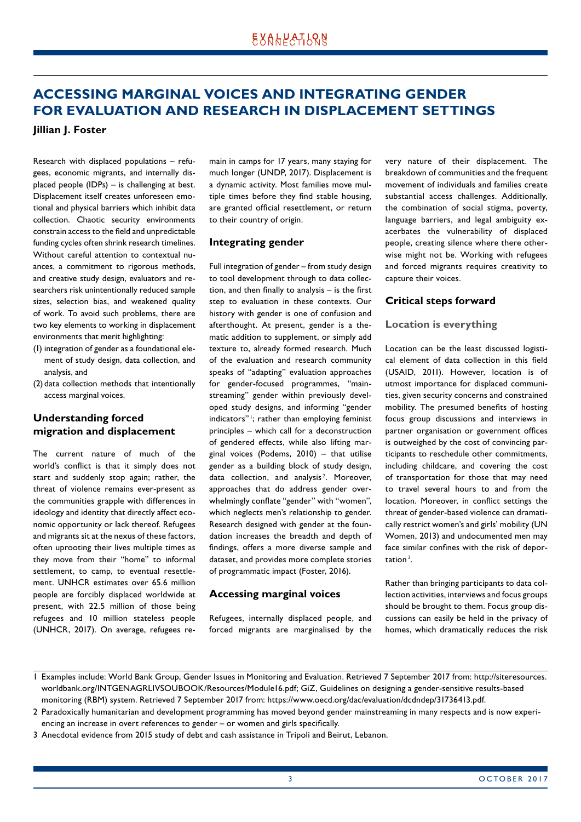# <span id="page-2-0"></span>**ACCESSING MARGINAL VOICES AND INTEGRATING GENDER FOR EVALUATION AND RESEARCH IN DISPLACEMENT SETTINGS**

**Jillian J. Foster**

Research with displaced populations – refugees, economic migrants, and internally displaced people (IDPs) – is challenging at best. Displacement itself creates unforeseen emotional and physical barriers which inhibit data collection. Chaotic security environments constrain access to the field and unpredictable funding cycles often shrink research timelines. Without careful attention to contextual nuances, a commitment to rigorous methods, and creative study design, evaluators and researchers risk unintentionally reduced sample sizes, selection bias, and weakened quality of work. To avoid such problems, there are two key elements to working in displacement environments that merit highlighting:

- (1) integration of gender as a foundational element of study design, data collection, and analysis, and
- (2) data collection methods that intentionally access marginal voices.

# **Understanding forced migration and displacement**

The current nature of much of the world's conflict is that it simply does not start and suddenly stop again; rather, the threat of violence remains ever-present as the communities grapple with differences in ideology and identity that directly affect economic opportunity or lack thereof. Refugees and migrants sit at the nexus of these factors, often uprooting their lives multiple times as they move from their "home" to informal settlement, to camp, to eventual resettlement. UNHCR estimates over 65.6 million people are forcibly displaced worldwide at present, with 22.5 million of those being refugees and 10 million stateless people (UNHCR, 2017). On average, refugees remain in camps for 17 years, many staying for much longer (UNDP, 2017). Displacement is a dynamic activity. Most families move multiple times before they find stable housing, are granted official resettlement, or return to their country of origin.

### **Integrating gender**

Full integration of gender – from study design to tool development through to data collection, and then finally to analysis – is the first step to evaluation in these contexts. Our history with gender is one of confusion and afterthought. At present, gender is a thematic addition to supplement, or simply add texture to, already formed research. Much of the evaluation and research community speaks of "adapting" evaluation approaches for gender-focused programmes, "mainstreaming" gender within previously developed study designs, and informing "gender indicators"<sup>1</sup>; rather than employing feminist principles – which call for a deconstruction of gendered effects, while also lifting marginal voices (Podems, 2010) – that utilise gender as a building block of study design, data collection, and analysis<sup>2</sup>. Moreover, approaches that do address gender overwhelmingly conflate "gender" with "women", which neglects men's relationship to gender. Research designed with gender at the foundation increases the breadth and depth of findings, offers a more diverse sample and dataset, and provides more complete stories of programmatic impact (Foster, 2016).

### **Accessing marginal voices**

Refugees, internally displaced people, and forced migrants are marginalised by the very nature of their displacement. The breakdown of communities and the frequent movement of individuals and families create substantial access challenges. Additionally, the combination of social stigma, poverty, language barriers, and legal ambiguity exacerbates the vulnerability of displaced people, creating silence where there otherwise might not be. Working with refugees and forced migrants requires creativity to capture their voices.

### **Critical steps forward**

#### **Location is everything**

Location can be the least discussed logistical element of data collection in this field (USAID, 2011). However, location is of utmost importance for displaced communities, given security concerns and constrained mobility. The presumed benefits of hosting focus group discussions and interviews in partner organisation or government offices is outweighed by the cost of convincing participants to reschedule other commitments, including childcare, and covering the cost of transportation for those that may need to travel several hours to and from the location. Moreover, in conflict settings the threat of gender-based violence can dramatically restrict women's and girls' mobility (UN Women, 2013) and undocumented men may face similar confines with the risk of deportation $^3$ .

Rather than bringing participants to data collection activities, interviews and focus groups should be brought to them. Focus group discussions can easily be held in the privacy of homes, which dramatically reduces the risk

3 Anecdotal evidence from 2015 study of debt and cash assistance in Tripoli and Beirut, Lebanon.

<sup>1</sup> Examples include: World Bank Group, Gender Issues in Monitoring and Evaluation. Retrieved 7 September 2017 from: http://siteresources. worldbank.org/INTGENAGRLIVSOUBOOK/Resources/Module16.pdf; GiZ, Guidelines on designing a gender-sensitive results-based monitoring (RBM) system. Retrieved 7 September 2017 from: https://www.oecd.org/dac/evaluation/dcdndep/31736413.pdf.

<sup>2</sup> Paradoxically humanitarian and development programming has moved beyond gender mainstreaming in many respects and is now experiencing an increase in overt references to gender – or women and girls specifically.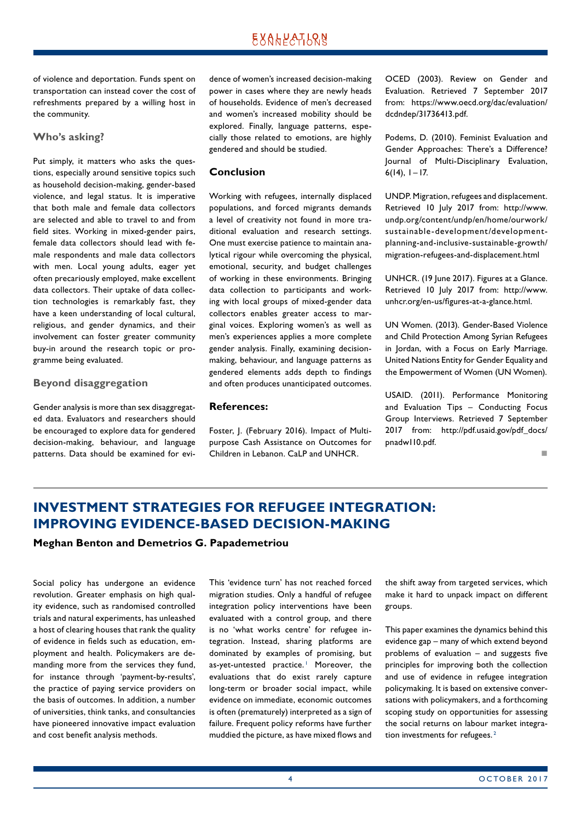<span id="page-3-0"></span>of violence and deportation. Funds spent on transportation can instead cover the cost of refreshments prepared by a willing host in the community.

#### **Who's asking?**

Put simply, it matters who asks the questions, especially around sensitive topics such as household decision-making, gender-based violence, and legal status. It is imperative that both male and female data collectors are selected and able to travel to and from field sites. Working in mixed-gender pairs, female data collectors should lead with female respondents and male data collectors with men. Local young adults, eager yet often precariously employed, make excellent data collectors. Their uptake of data collection technologies is remarkably fast, they have a keen understanding of local cultural, religious, and gender dynamics, and their involvement can foster greater community buy-in around the research topic or programme being evaluated.

#### **Beyond disaggregation**

Gender analysis is more than sex disaggregated data. Evaluators and researchers should be encouraged to explore data for gendered decision-making, behaviour, and language patterns. Data should be examined for evidence of women's increased decision-making power in cases where they are newly heads of households. Evidence of men's decreased and women's increased mobility should be explored. Finally, language patterns, especially those related to emotions, are highly gendered and should be studied.

#### **Conclusion**

Working with refugees, internally displaced populations, and forced migrants demands a level of creativity not found in more traditional evaluation and research settings. One must exercise patience to maintain analytical rigour while overcoming the physical, emotional, security, and budget challenges of working in these environments. Bringing data collection to participants and working with local groups of mixed-gender data collectors enables greater access to marginal voices. Exploring women's as well as men's experiences applies a more complete gender analysis. Finally, examining decisionmaking, behaviour, and language patterns as gendered elements adds depth to findings and often produces unanticipated outcomes.

#### **References:**

Foster, J. (February 2016). Impact of Multipurpose Cash Assistance on Outcomes for Children in Lebanon. CaLP and UNHCR.

OCED (2003). Review on Gender and Evaluation. Retrieved 7 September 2017 from: https://www.oecd.org/dac/evaluation/ dcdndep/31736413.pdf.

Podems, D. (2010). Feminist Evaluation and Gender Approaches: There's a Difference? Journal of Multi-Disciplinary Evaluation,  $6(14)$ ,  $1 - 17$ .

UNDP. Migration, refugees and displacement. Retrieved 10 July 2017 from: http://www. undp.org/content/undp/en/home/ourwork/ sustainable-development/developmentplanning-and-inclusive-sustainable-growth/ migration-refugees-and-displacement.html

UNHCR. (19 June 2017). Figures at a Glance. Retrieved 10 July 2017 from: http://www. unhcr.org/en-us/figures-at-a-glance.html.

UN Women. (2013). Gender-Based Violence and Child Protection Among Syrian Refugees in Jordan, with a Focus on Early Marriage. United Nations Entity for Gender Equality and the Empowerment of Women (UN Women).

USAID. (2011). Performance Monitoring and Evaluation Tips – Conducting Focus Group Interviews. Retrieved 7 September 2017 from: http://pdf.usaid.gov/pdf\_docs/ pnadw110.pdf.

not a contract the contract of the

# **INVESTMENT STRATEGIES FOR REFUGEE INTEGRATION: IMPROVING EVIDENCE-BASED DECISION-MAKING**

### **Meghan Benton and Demetrios G. Papademetriou**

Social policy has undergone an evidence revolution. Greater emphasis on high quality evidence, such as randomised controlled trials and natural experiments, has unleashed a host of clearing houses that rank the quality of evidence in fields such as education, employment and health. Policymakers are demanding more from the services they fund, for instance through 'payment-by-results', the practice of paying service providers on the basis of outcomes. In addition, a number of universities, think tanks, and consultancies have pioneered innovative impact evaluation and cost benefit analysis methods.

This 'evidence turn' has not reached forced migration studies. Only a handful of refugee integration policy interventions have been evaluated with a control group, and there is no 'what works centre' for refugee integration. Instead, sharing platforms are dominated by examples of promising, but as-yet-untested practice.<sup>1</sup> Moreover, the evaluations that do exist rarely capture long-term or broader social impact, while evidence on immediate, economic outcomes is often (prematurely) interpreted as a sign of failure. Frequent policy reforms have further muddied the picture, as have mixed flows and

the shift away from targeted services, which make it hard to unpack impact on different groups.

This paper examines the dynamics behind this evidence gap – many of which extend beyond problems of evaluation – and suggests five principles for improving both the collection and use of evidence in refugee integration policymaking. It is based on extensive conversations with policymakers, and a forthcoming scoping study on opportunities for assessing the social returns on labour market integration investments for refugees.<sup>2</sup>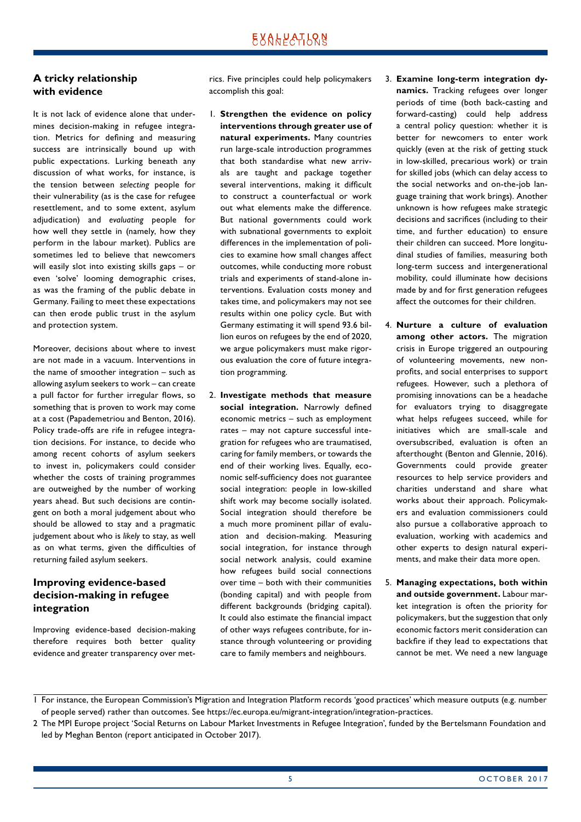### **A tricky relationship with evidence**

It is not lack of evidence alone that undermines decision-making in refugee integration. Metrics for defining and measuring success are intrinsically bound up with public expectations. Lurking beneath any discussion of what works, for instance, is the tension between *selecting* people for their vulnerability (as is the case for refugee resettlement, and to some extent, asylum adjudication) and *evaluating* people for how well they settle in (namely, how they perform in the labour market). Publics are sometimes led to believe that newcomers will easily slot into existing skills gaps – or even 'solve' looming demographic crises, as was the framing of the public debate in Germany. Failing to meet these expectations can then erode public trust in the asylum and protection system.

Moreover, decisions about where to invest are not made in a vacuum. Interventions in the name of smoother integration – such as allowing asylum seekers to work – can create a pull factor for further irregular flows, so something that is proven to work may come at a cost (Papademetriou and Benton, 2016). Policy trade-offs are rife in refugee integration decisions. For instance, to decide who among recent cohorts of asylum seekers to invest in, policymakers could consider whether the costs of training programmes are outweighed by the number of working years ahead. But such decisions are contingent on both a moral judgement about who should be allowed to stay and a pragmatic judgement about who is *likely* to stay, as well as on what terms, given the difficulties of returning failed asylum seekers.

# **Improving evidence-based decision-making in refugee integration**

Improving evidence-based decision-making therefore requires both better quality evidence and greater transparency over metrics. Five principles could help policymakers accomplish this goal:

- 1. **Strengthen the evidence on policy interventions through greater use of natural experiments.** Many countries run large-scale introduction programmes that both standardise what new arrivals are taught and package together several interventions, making it difficult to construct a counterfactual or work out what elements make the difference. But national governments could work with subnational governments to exploit differences in the implementation of policies to examine how small changes affect outcomes, while conducting more robust trials and experiments of stand-alone interventions. Evaluation costs money and takes time, and policymakers may not see results within one policy cycle. But with Germany estimating it will spend 93.6 billion euros on refugees by the end of 2020, we argue policymakers must make rigorous evaluation the core of future integration programming.
- 2. **Investigate methods that measure social integration.** Narrowly defined economic metrics – such as employment rates – may not capture successful integration for refugees who are traumatised, caring for family members, or towards the end of their working lives. Equally, economic self-sufficiency does not guarantee social integration: people in low-skilled shift work may become socially isolated. Social integration should therefore be a much more prominent pillar of evaluation and decision-making. Measuring social integration, for instance through social network analysis, could examine how refugees build social connections over time – both with their communities (bonding capital) and with people from different backgrounds (bridging capital). It could also estimate the financial impact of other ways refugees contribute, for instance through volunteering or providing care to family members and neighbours.
- 3. **Examine long-term integration dynamics.** Tracking refugees over longer periods of time (both back-casting and forward-casting) could help address a central policy question: whether it is better for newcomers to enter work quickly (even at the risk of getting stuck in low-skilled, precarious work) or train for skilled jobs (which can delay access to the social networks and on-the-job language training that work brings). Another unknown is how refugees make strategic decisions and sacrifices (including to their time, and further education) to ensure their children can succeed. More longitudinal studies of families, measuring both long-term success and intergenerational mobility, could illuminate how decisions made by and for first generation refugees affect the outcomes for their children.
- 4. **Nurture a culture of evaluation among other actors.** The migration crisis in Europe triggered an outpouring of volunteering movements, new nonprofits, and social enterprises to support refugees. However, such a plethora of promising innovations can be a headache for evaluators trying to disaggregate what helps refugees succeed, while for initiatives which are small-scale and oversubscribed, evaluation is often an afterthought (Benton and Glennie, 2016). Governments could provide greater resources to help service providers and charities understand and share what works about their approach. Policymakers and evaluation commissioners could also pursue a collaborative approach to evaluation, working with academics and other experts to design natural experiments, and make their data more open.
- 5. **Managing expectations, both within and outside government.** Labour market integration is often the priority for policymakers, but the suggestion that only economic factors merit consideration can backfire if they lead to expectations that cannot be met. We need a new language

<sup>1</sup> For instance, the European Commission's Migration and Integration Platform records 'good practices' which measure outputs (e.g. number of people served) rather than outcomes. See https://ec.europa.eu/migrant-integration/integration-practices.

<sup>2</sup> The MPI Europe project 'Social Returns on Labour Market Investments in Refugee Integration', funded by the Bertelsmann Foundation and led by Meghan Benton (report anticipated in October 2017).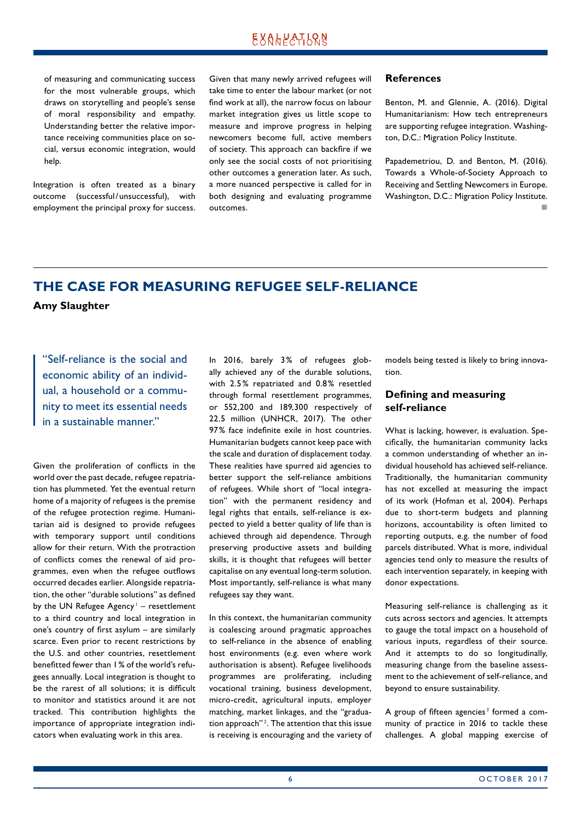<span id="page-5-0"></span>of measuring and communicating success for the most vulnerable groups, which draws on storytelling and people's sense of moral responsibility and empathy. Understanding better the relative importance receiving communities place on social, versus economic integration, would help.

Integration is often treated as a binary outcome (successful/ unsuccessful), with employment the principal proxy for success. Given that many newly arrived refugees will take time to enter the labour market (or not find work at all), the narrow focus on labour market integration gives us little scope to measure and improve progress in helping newcomers become full, active members of society. This approach can backfire if we only see the social costs of not prioritising other outcomes a generation later. As such, a more nuanced perspective is called for in both designing and evaluating programme outcomes.

#### **References**

Benton, M. and Glennie, A. (2016). Digital Humanitarianism: How tech entrepreneurs are supporting refugee integration. Washington, D.C.: Migration Policy Institute.

Papademetriou, D. and Benton, M. (2016). Towards a Whole-of-Society Approach to Receiving and Settling Newcomers in Europe. Washington, D.C.: Migration Policy Institute. not a contract the contract of the

# **THE CASE FOR MEASURING REFUGEE SELF-RELIANCE**

#### **Amy Slaughter**

"Self-reliance is the social and economic ability of an individual, a household or a community to meet its essential needs in a sustainable manner."

Given the proliferation of conflicts in the world over the past decade, refugee repatriation has plummeted. Yet the eventual return home of a majority of refugees is the premise of the refugee protection regime. Humanitarian aid is designed to provide refugees with temporary support until conditions allow for their return. With the protraction of conflicts comes the renewal of aid programmes, even when the refugee outflows occurred decades earlier. Alongside repatriation, the other "durable solutions" as defined by the UN Refugee Agency<sup>1</sup> - resettlement to a third country and local integration in one's country of first asylum – are similarly scarce. Even prior to recent restrictions by the U.S. and other countries, resettlement benefitted fewer than 1% of the world's refugees annually. Local integration is thought to be the rarest of all solutions; it is difficult to monitor and statistics around it are not tracked. This contribution highlights the importance of appropriate integration indicators when evaluating work in this area.

In 2016, barely 3% of refugees globally achieved any of the durable solutions, with 2.5% repatriated and 0.8% resettled through formal resettlement programmes, or 552,200 and 189,300 respectively of 22.5 million (UNHCR, 2017). The other 97% face indefinite exile in host countries. Humanitarian budgets cannot keep pace with the scale and duration of displacement today. These realities have spurred aid agencies to better support the self-reliance ambitions of refugees. While short of "local integration" with the permanent residency and legal rights that entails, self-reliance is expected to yield a better quality of life than is achieved through aid dependence. Through preserving productive assets and building skills, it is thought that refugees will better capitalise on any eventual long-term solution. Most importantly, self-reliance is what many refugees say they want.

In this context, the humanitarian community is coalescing around pragmatic approaches to self-reliance in the absence of enabling host environments (e.g. even where work authorisation is absent). Refugee livelihoods programmes are proliferating, including vocational training, business development, micro-credit, agricultural inputs, employer matching, market linkages, and the "graduation approach"<sup>2</sup>. The attention that this issue is receiving is encouraging and the variety of

models being tested is likely to bring innovation.

### **Defining and measuring self-reliance**

What is lacking, however, is evaluation. Specifically, the humanitarian community lacks a common understanding of whether an individual household has achieved self-reliance. Traditionally, the humanitarian community has not excelled at measuring the impact of its work (Hofman et al, 2004). Perhaps due to short-term budgets and planning horizons, accountability is often limited to reporting outputs, e.g. the number of food parcels distributed. What is more, individual agencies tend only to measure the results of each intervention separately, in keeping with donor expectations.

Measuring self-reliance is challenging as it cuts across sectors and agencies. It attempts to gauge the total impact on a household of various inputs, regardless of their source. And it attempts to do so longitudinally, measuring change from the baseline assessment to the achievement of self-reliance, and beyond to ensure sustainability.

A group of fifteen agencies<sup>3</sup> formed a community of practice in 2016 to tackle these challenges. A global mapping exercise of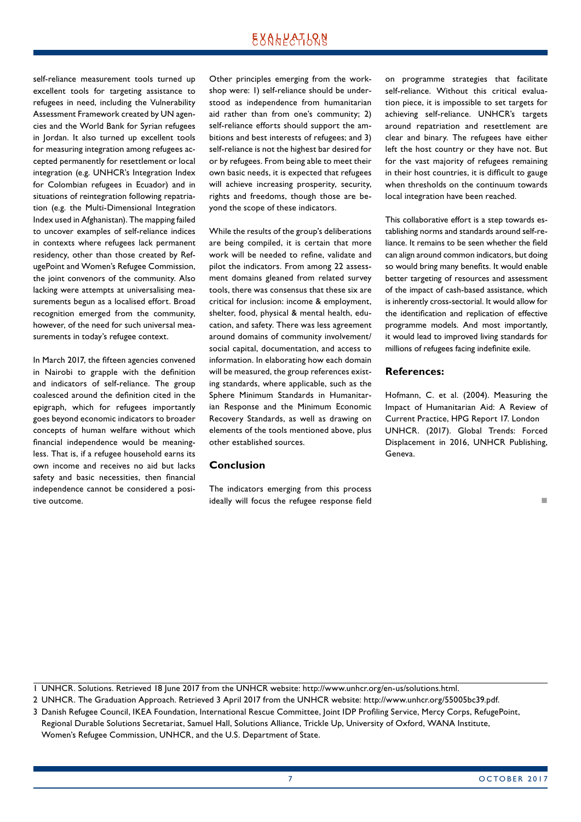self-reliance measurement tools turned up excellent tools for targeting assistance to refugees in need, including the Vulnerability Assessment Framework created by UN agencies and the World Bank for Syrian refugees in Jordan. It also turned up excellent tools for measuring integration among refugees accepted permanently for resettlement or local integration (e.g. UNHCR's Integration Index for Colombian refugees in Ecuador) and in situations of reintegration following repatriation (e.g. the Multi-Dimensional Integration Index used in Afghanistan). The mapping failed to uncover examples of self-reliance indices in contexts where refugees lack permanent residency, other than those created by RefugePoint and Women's Refugee Commission, the joint convenors of the community. Also lacking were attempts at universalising measurements begun as a localised effort. Broad recognition emerged from the community, however, of the need for such universal measurements in today's refugee context.

In March 2017, the fifteen agencies convened in Nairobi to grapple with the definition and indicators of self-reliance. The group coalesced around the definition cited in the epigraph, which for refugees importantly goes beyond economic indicators to broader concepts of human welfare without which financial independence would be meaningless. That is, if a refugee household earns its own income and receives no aid but lacks safety and basic necessities, then financial independence cannot be considered a positive outcome.

Other principles emerging from the workshop were: 1) self-reliance should be understood as independence from humanitarian aid rather than from one's community; 2) self-reliance efforts should support the ambitions and best interests of refugees; and 3) self-reliance is not the highest bar desired for or by refugees. From being able to meet their own basic needs, it is expected that refugees will achieve increasing prosperity, security, rights and freedoms, though those are beyond the scope of these indicators.

While the results of the group's deliberations are being compiled, it is certain that more work will be needed to refine, validate and pilot the indicators. From among 22 assessment domains gleaned from related survey tools, there was consensus that these six are critical for inclusion: income & employment, shelter, food, physical & mental health, education, and safety. There was less agreement around domains of community involvement/ social capital, documentation, and access to information. In elaborating how each domain will be measured, the group references existing standards, where applicable, such as the Sphere Minimum Standards in Humanitarian Response and the Minimum Economic Recovery Standards, as well as drawing on elements of the tools mentioned above, plus other established sources.

### **Conclusion**

The indicators emerging from this process ideally will focus the refugee response field

on programme strategies that facilitate self-reliance. Without this critical evaluation piece, it is impossible to set targets for achieving self-reliance. UNHCR's targets around repatriation and resettlement are clear and binary. The refugees have either left the host country or they have not. But for the vast majority of refugees remaining in their host countries, it is difficult to gauge when thresholds on the continuum towards local integration have been reached.

This collaborative effort is a step towards establishing norms and standards around self-reliance. It remains to be seen whether the field can align around common indicators, but doing so would bring many benefits. It would enable better targeting of resources and assessment of the impact of cash-based assistance, which is inherently cross-sectorial. It would allow for the identification and replication of effective programme models. And most importantly, it would lead to improved living standards for millions of refugees facing indefinite exile.

#### **References:**

Hofmann, C. et al. (2004). Measuring the Impact of Humanitarian Aid: A Review of Current Practice, HPG Report 17. London UNHCR. (2017). Global Trends: Forced Displacement in 2016, UNHCR Publishing, Geneva.

1 UNHCR. Solutions. Retrieved 18 June 2017 from the UNHCR website: http://www.unhcr.org/en-us/solutions.html.

2 UNHCR. The Graduation Approach. Retrieved 3 April 2017 from the UNHCR website: http://www.unhcr.org/55005bc39.pdf.

3 Danish Refugee Council, IKEA Foundation, International Rescue Committee, Joint IDP Profiling Service, Mercy Corps, RefugePoint, Regional Durable Solutions Secretariat, Samuel Hall, Solutions Alliance, Trickle Up, University of Oxford, WANA Institute, Women's Refugee Commission, UNHCR, and the U.S. Department of State.

n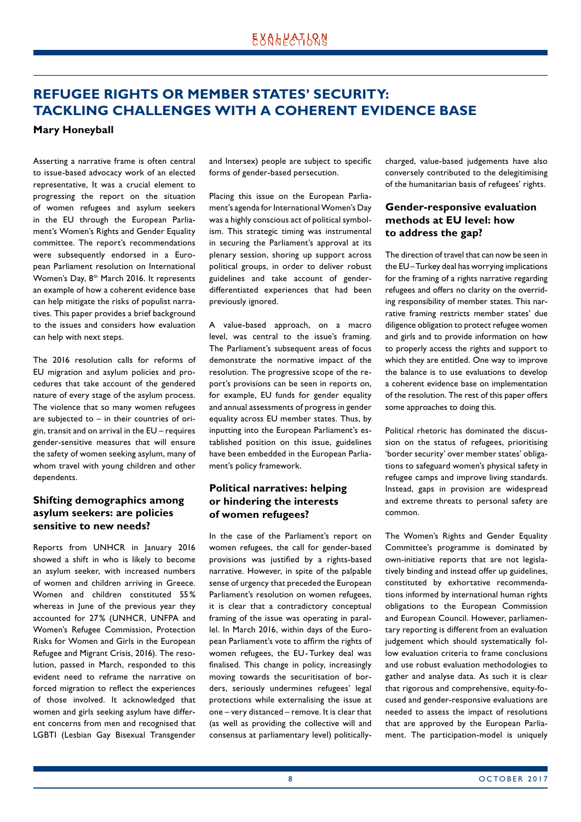# <span id="page-7-0"></span>**REFUGEE RIGHTS OR MEMBER STATES' SECURITY: TACKLING CHALLENGES WITH A COHERENT EVIDENCE BASE**

### **Mary Honeyball**

Asserting a narrative frame is often central to issue-based advocacy work of an elected representative, It was a crucial element to progressing the report on the situation of women refugees and asylum seekers in the EU through the European Parliament's Women's Rights and Gender Equality committee. The report's recommendations were subsequently endorsed in a European Parliament resolution on International Women's Day, 8<sup>th</sup> March 2016. It represents an example of how a coherent evidence base can help mitigate the risks of populist narratives. This paper provides a brief background to the issues and considers how evaluation can help with next steps.

The 2016 resolution calls for reforms of EU migration and asylum policies and procedures that take account of the gendered nature of every stage of the asylum process. The violence that so many women refugees are subjected to – in their countries of origin, transit and on arrival in the EU – requires gender-sensitive measures that will ensure the safety of women seeking asylum, many of whom travel with young children and other dependents.

### **Shifting demographics among asylum seekers: are policies sensitive to new needs?**

Reports from UNHCR in January 2016 showed a shift in who is likely to become an asylum seeker, with increased numbers of women and children arriving in Greece. Women and children constituted 55% whereas in lune of the previous year they accounted for 27% (UNHCR, UNFPA and Women's Refugee Commission, Protection Risks for Women and Girls in the European Refugee and Migrant Crisis, 2016). The resolution, passed in March, responded to this evident need to reframe the narrative on forced migration to reflect the experiences of those involved. It acknowledged that women and girls seeking asylum have different concerns from men and recognised that LGBTI (Lesbian Gay Bisexual Transgender

and Intersex) people are subject to specific forms of gender-based persecution.

Placing this issue on the European Parliament's agenda for International Women's Day was a highly conscious act of political symbolism. This strategic timing was instrumental in securing the Parliament's approval at its plenary session, shoring up support across political groups, in order to deliver robust guidelines and take account of genderdifferentiated experiences that had been previously ignored.

A value-based approach, on a macro level, was central to the issue's framing. The Parliament's subsequent areas of focus demonstrate the normative impact of the resolution. The progressive scope of the report's provisions can be seen in reports on, for example, EU funds for gender equality and annual assessments of progress in gender equality across EU member states. Thus, by inputting into the European Parliament's established position on this issue, guidelines have been embedded in the European Parliament's policy framework.

# **Political narratives: helping or hindering the interests of women refugees?**

In the case of the Parliament's report on women refugees, the call for gender-based provisions was justified by a rights-based narrative. However, in spite of the palpable sense of urgency that preceded the European Parliament's resolution on women refugees, it is clear that a contradictory conceptual framing of the issue was operating in parallel. In March 2016, within days of the European Parliament's vote to affirm the rights of women refugees, the EU-Turkey deal was finalised. This change in policy, increasingly moving towards the securitisation of borders, seriously undermines refugees' legal protections while externalising the issue at one – very distanced – remove. It is clear that (as well as providing the collective will and consensus at parliamentary level) politicallycharged, value-based judgements have also conversely contributed to the delegitimising of the humanitarian basis of refugees' rights.

### **Gender-responsive evaluation methods at EU level: how to address the gap?**

The direction of travel that can now be seen in the EU–Turkey deal has worrying implications for the framing of a rights narrative regarding refugees and offers no clarity on the overriding responsibility of member states. This narrative framing restricts member states' due diligence obligation to protect refugee women and girls and to provide information on how to properly access the rights and support to which they are entitled. One way to improve the balance is to use evaluations to develop a coherent evidence base on implementation of the resolution. The rest of this paper offers some approaches to doing this.

Political rhetoric has dominated the discussion on the status of refugees, prioritising 'border security' over member states' obligations to safeguard women's physical safety in refugee camps and improve living standards. Instead, gaps in provision are widespread and extreme threats to personal safety are common.

The Women's Rights and Gender Equality Committee's programme is dominated by own-initiative reports that are not legislatively binding and instead offer up guidelines, constituted by exhortative recommendations informed by international human rights obligations to the European Commission and European Council. However, parliamentary reporting is different from an evaluation iudgement which should systematically follow evaluation criteria to frame conclusions and use robust evaluation methodologies to gather and analyse data. As such it is clear that rigorous and comprehensive, equity-focused and gender-responsive evaluations are needed to assess the impact of resolutions that are approved by the European Parliament. The participation-model is uniquely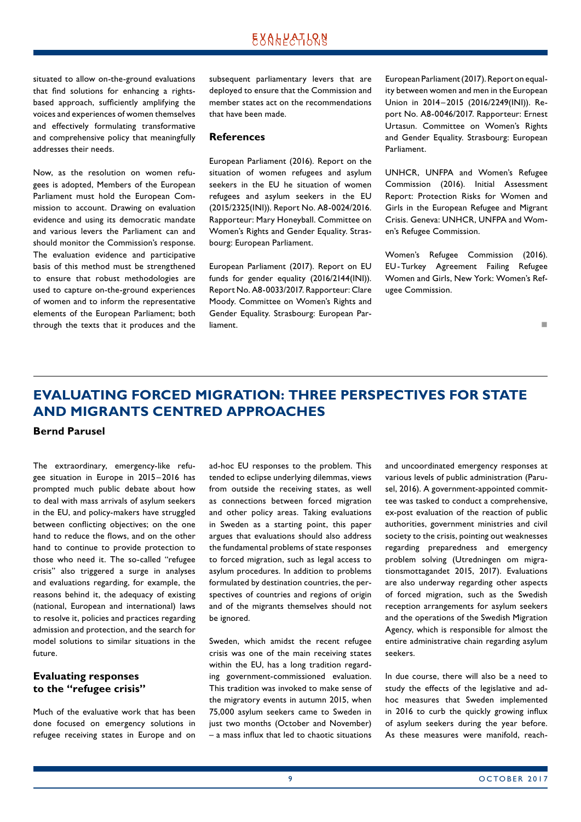<span id="page-8-0"></span>situated to allow on-the-ground evaluations that find solutions for enhancing a rightsbased approach, sufficiently amplifying the voices and experiences of women themselves and effectively formulating transformative and comprehensive policy that meaningfully addresses their needs.

Now, as the resolution on women refugees is adopted, Members of the European Parliament must hold the European Commission to account. Drawing on evaluation evidence and using its democratic mandate and various levers the Parliament can and should monitor the Commission's response. The evaluation evidence and participative basis of this method must be strengthened to ensure that robust methodologies are used to capture on-the-ground experiences of women and to inform the representative elements of the European Parliament; both through the texts that it produces and the subsequent parliamentary levers that are deployed to ensure that the Commission and member states act on the recommendations that have been made.

#### **References**

European Parliament (2016). Report on the situation of women refugees and asylum seekers in the EU he situation of women refugees and asylum seekers in the EU (2015/2325(INI)). Report No. A8-0024/2016. Rapporteur: Mary Honeyball. Committee on Women's Rights and Gender Equality. Strasbourg: European Parliament.

European Parliament (2017). Report on EU funds for gender equality (2016/2144(INI)). Report No. A8-0033/2017. Rapporteur: Clare Moody. Committee on Women's Rights and Gender Equality. Strasbourg: European Parliament.

European Parliament (2017). Report on equality between women and men in the European Union in 2014–2015 (2016/2249(INI)). Report No. A8-0046/2017. Rapporteur: Ernest Urtasun. Committee on Women's Rights and Gender Equality. Strasbourg: European Parliament.

UNHCR, UNFPA and Women's Refugee Commission (2016). Initial Assessment Report: Protection Risks for Women and Girls in the European Refugee and Migrant Crisis. Geneva: UNHCR, UNFPA and Women's Refugee Commission.

Women's Refugee Commission (2016). EU-Turkey Agreement Failing Refugee Women and Girls, New York: Women's Refugee Commission.

not a contract the contract of the

# **EVALUATING FORCED MIGRATION: THREE PERSPECTIVES FOR STATE AND MIGRANTS CENTRED APPROACHES**

**Bernd Parusel** 

The extraordinary, emergency-like refugee situation in Europe in 2015 –2016 has prompted much public debate about how to deal with mass arrivals of asylum seekers in the EU, and policy-makers have struggled between conflicting objectives; on the one hand to reduce the flows, and on the other hand to continue to provide protection to those who need it. The so-called "refugee crisis" also triggered a surge in analyses and evaluations regarding, for example, the reasons behind it, the adequacy of existing (national, European and international) laws to resolve it, policies and practices regarding admission and protection, and the search for model solutions to similar situations in the future.

### **Evaluating responses to the "refugee crisis"**

Much of the evaluative work that has been done focused on emergency solutions in refugee receiving states in Europe and on ad-hoc EU responses to the problem. This tended to eclipse underlying dilemmas, views from outside the receiving states, as well as connections between forced migration and other policy areas. Taking evaluations in Sweden as a starting point, this paper argues that evaluations should also address the fundamental problems of state responses to forced migration, such as legal access to asylum procedures. In addition to problems formulated by destination countries, the perspectives of countries and regions of origin and of the migrants themselves should not be ignored.

Sweden, which amidst the recent refugee crisis was one of the main receiving states within the EU, has a long tradition regarding government-commissioned evaluation. This tradition was invoked to make sense of the migratory events in autumn 2015, when 75,000 asylum seekers came to Sweden in just two months (October and November) – a mass influx that led to chaotic situations and uncoordinated emergency responses at various levels of public administration (Parusel, 2016). A government-appointed committee was tasked to conduct a comprehensive, ex-post evaluation of the reaction of public authorities, government ministries and civil society to the crisis, pointing out weaknesses regarding preparedness and emergency problem solving (Utredningen om migrationsmottagandet 2015, 2017). Evaluations are also underway regarding other aspects of forced migration, such as the Swedish reception arrangements for asylum seekers and the operations of the Swedish Migration Agency, which is responsible for almost the entire administrative chain regarding asylum seekers.

In due course, there will also be a need to study the effects of the legislative and adhoc measures that Sweden implemented in 2016 to curb the quickly growing influx of asylum seekers during the year before. As these measures were manifold, reach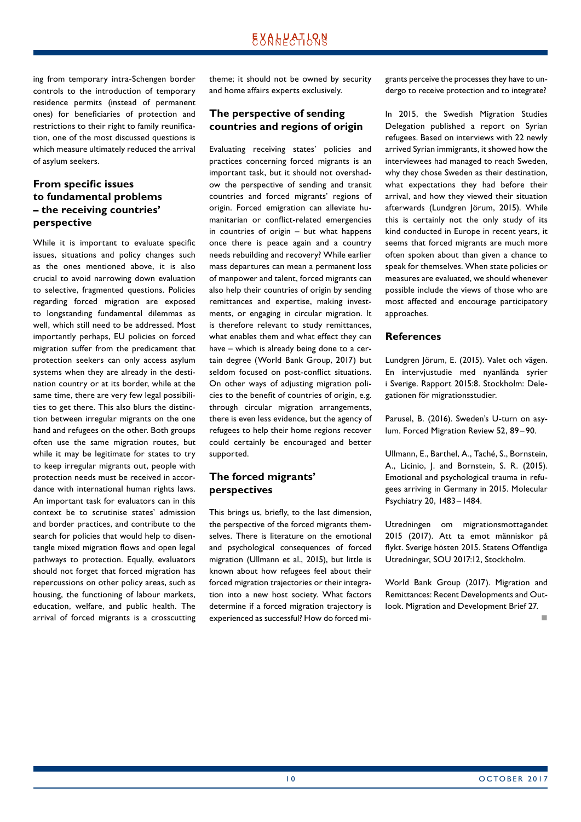ing from temporary intra-Schengen border controls to the introduction of temporary residence permits (instead of permanent ones) for beneficiaries of protection and restrictions to their right to family reunification, one of the most discussed questions is which measure ultimately reduced the arrival of asylum seekers.

### **From specific issues to fundamental problems – the receiving countries' perspective**

While it is important to evaluate specific issues, situations and policy changes such as the ones mentioned above, it is also crucial to avoid narrowing down evaluation to selective, fragmented questions. Policies regarding forced migration are exposed to longstanding fundamental dilemmas as well, which still need to be addressed. Most importantly perhaps, EU policies on forced migration suffer from the predicament that protection seekers can only access asylum systems when they are already in the destination country or at its border, while at the same time, there are very few legal possibilities to get there. This also blurs the distinction between irregular migrants on the one hand and refugees on the other. Both groups often use the same migration routes, but while it may be legitimate for states to try to keep irregular migrants out, people with protection needs must be received in accordance with international human rights laws. An important task for evaluators can in this context be to scrutinise states' admission and border practices, and contribute to the search for policies that would help to disentangle mixed migration flows and open legal pathways to protection. Equally, evaluators should not forget that forced migration has repercussions on other policy areas, such as housing, the functioning of labour markets, education, welfare, and public health. The arrival of forced migrants is a crosscutting theme; it should not be owned by security and home affairs experts exclusively.

### **The perspective of sending countries and regions of origin**

Evaluating receiving states' policies and practices concerning forced migrants is an important task, but it should not overshadow the perspective of sending and transit countries and forced migrants' regions of origin. Forced emigration can alleviate humanitarian or conflict-related emergencies in countries of origin – but what happens once there is peace again and a country needs rebuilding and recovery? While earlier mass departures can mean a permanent loss of manpower and talent, forced migrants can also help their countries of origin by sending remittances and expertise, making investments, or engaging in circular migration. It is therefore relevant to study remittances, what enables them and what effect they can have – which is already being done to a certain degree (World Bank Group, 2017) but seldom focused on post-conflict situations. On other ways of adjusting migration policies to the benefit of countries of origin, e.g. through circular migration arrangements, there is even less evidence, but the agency of refugees to help their home regions recover could certainly be encouraged and better supported.

# **The forced migrants' perspectives**

This brings us, briefly, to the last dimension, the perspective of the forced migrants themselves. There is literature on the emotional and psychological consequences of forced migration (Ullmann et al., 2015), but little is known about how refugees feel about their forced migration trajectories or their integration into a new host society. What factors determine if a forced migration trajectory is experienced as successful? How do forced migrants perceive the processes they have to undergo to receive protection and to integrate?

In 2015, the Swedish Migration Studies Delegation published a report on Syrian refugees. Based on interviews with 22 newly arrived Syrian immigrants, it showed how the interviewees had managed to reach Sweden, why they chose Sweden as their destination, what expectations they had before their arrival, and how they viewed their situation afterwards (Lundgren Jörum, 2015). While this is certainly not the only study of its kind conducted in Europe in recent years, it seems that forced migrants are much more often spoken about than given a chance to speak for themselves. When state policies or measures are evaluated, we should whenever possible include the views of those who are most affected and encourage participatory approaches.

### **References**

Lundgren Jörum, E. (2015). Valet och vägen. En intervjustudie med nyanlända syrier i Sverige. Rapport 2015:8. Stockholm: Delegationen för migrationsstudier.

Parusel, B. (2016). Sweden's U-turn on asylum. Forced Migration Review 52, 89-90.

Ullmann, E., Barthel, A., Taché, S., Bornstein, A., Licinio, J. and Bornstein, S. R. (2015). Emotional and psychological trauma in refugees arriving in Germany in 2015. Molecular Psychiatry 20, 1483 –1484.

Utredningen om migrationsmottagandet 2015 (2017). Att ta emot människor på flykt. Sverige hösten 2015. Statens Offentliga Utredningar, SOU 2017:12, Stockholm.

World Bank Group (2017). Migration and Remittances: Recent Developments and Outlook. Migration and Development Brief 27.

not a contract the contract of the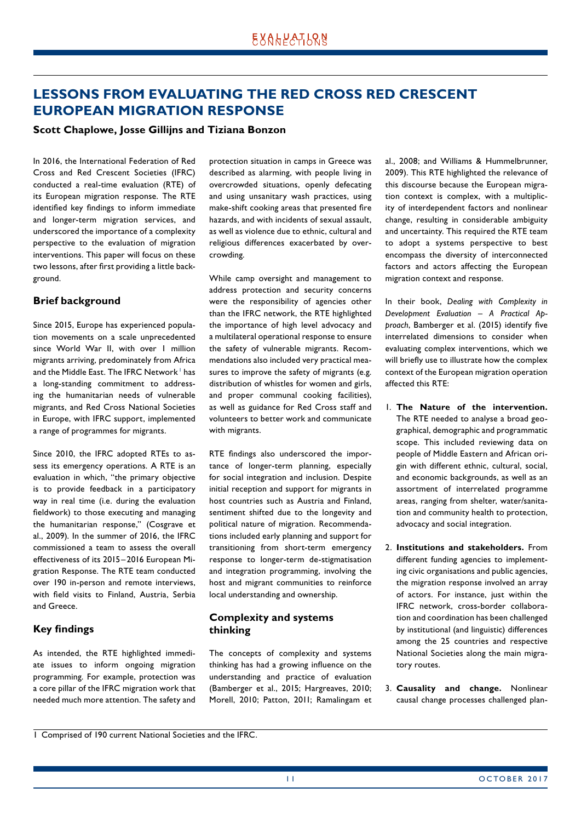# <span id="page-10-0"></span>**LESSONS FROM EVALUATING THE RED CROSS RED CRESCENT EUROPEAN MIGRATION RESPONSE**

#### **Scott Chaplowe, Josse Gillijns and Tiziana Bonzon**

In 2016, the International Federation of Red Cross and Red Crescent Societies (IFRC) conducted a real-time evaluation (RTE) of its European migration response. The RTE identified key findings to inform immediate and longer-term migration services, and underscored the importance of a complexity perspective to the evaluation of migration interventions. This paper will focus on these two lessons, after first providing a little background.

### **Brief background**

Since 2015, Europe has experienced population movements on a scale unprecedented since World War II, with over I million migrants arriving, predominately from Africa and the Middle East. The IFRC Network I has a long-standing commitment to addressing the humanitarian needs of vulnerable migrants, and Red Cross National Societies in Europe, with IFRC support, implemented a range of programmes for migrants.

Since 2010, the IFRC adopted RTEs to assess its emergency operations. A RTE is an evaluation in which, "the primary objective is to provide feedback in a participatory way in real time (i.e. during the evaluation fieldwork) to those executing and managing the humanitarian response," (Cosgrave et al., 2009). In the summer of 2016, the IFRC commissioned a team to assess the overall effectiveness of its 2015–2016 European Migration Response. The RTE team conducted over 190 in-person and remote interviews, with field visits to Finland, Austria, Serbia and Greece.

### **Key findings**

As intended, the RTE highlighted immediate issues to inform ongoing migration programming. For example, protection was a core pillar of the IFRC migration work that needed much more attention. The safety and protection situation in camps in Greece was described as alarming, with people living in overcrowded situations, openly defecating and using unsanitary wash practices, using make-shift cooking areas that presented fire hazards, and with incidents of sexual assault, as well as violence due to ethnic, cultural and religious differences exacerbated by overcrowding.

While camp oversight and management to address protection and security concerns were the responsibility of agencies other than the IFRC network, the RTE highlighted the importance of high level advocacy and a multilateral operational response to ensure the safety of vulnerable migrants. Recommendations also included very practical measures to improve the safety of migrants (e.g. distribution of whistles for women and girls, and proper communal cooking facilities), as well as guidance for Red Cross staff and volunteers to better work and communicate with migrants.

RTE findings also underscored the importance of longer-term planning, especially for social integration and inclusion. Despite initial reception and support for migrants in host countries such as Austria and Finland, sentiment shifted due to the longevity and political nature of migration. Recommendations included early planning and support for transitioning from short-term emergency response to longer-term de-stigmatisation and integration programming, involving the host and migrant communities to reinforce local understanding and ownership.

### **Complexity and systems thinking**

The concepts of complexity and systems thinking has had a growing influence on the understanding and practice of evaluation (Bamberger et al., 2015; Hargreaves, 2010; Morell, 2010; Patton, 2011; Ramalingam et al., 2008; and Williams & Hummelbrunner, 2009). This RTE highlighted the relevance of this discourse because the European migration context is complex, with a multiplicity of interdependent factors and nonlinear change, resulting in considerable ambiguity and uncertainty. This required the RTE team to adopt a systems perspective to best encompass the diversity of interconnected factors and actors affecting the European migration context and response.

In their book, *Dealing with Complexity in Development Evaluation – A Practical Approach*, Bamberger et al. (2015) identify five interrelated dimensions to consider when evaluating complex interventions, which we will briefly use to illustrate how the complex context of the European migration operation affected this RTE:

- 1. **The Nature of the intervention.** The RTE needed to analyse a broad geographical, demographic and programmatic scope. This included reviewing data on people of Middle Eastern and African origin with different ethnic, cultural, social, and economic backgrounds, as well as an assortment of interrelated programme areas, ranging from shelter, water/sanitation and community health to protection, advocacy and social integration.
- 2. **Institutions and stakeholders.** From different funding agencies to implementing civic organisations and public agencies, the migration response involved an array of actors. For instance, just within the IFRC network, cross-border collaboration and coordination has been challenged by institutional (and linguistic) differences among the 25 countries and respective National Societies along the main migratory routes.
- 3. **Causality and change.** Nonlinear causal change processes challenged plan-

<sup>1</sup> Comprised of 190 current National Societies and the IFRC.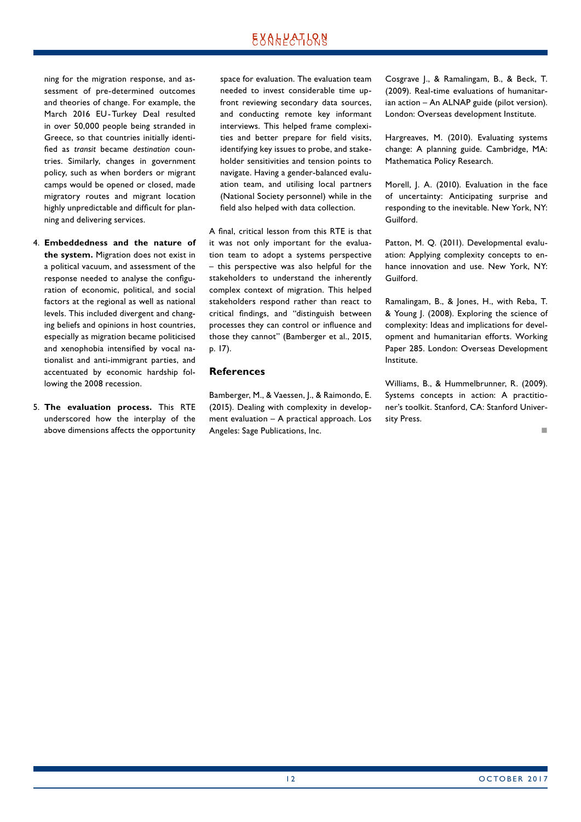# EXALPATLRN

ning for the migration response, and assessment of pre-determined outcomes and theories of change. For example, the March 2016 EU-Turkey Deal resulted in over 50,000 people being stranded in Greece, so that countries initially identified as *transit* became *destination* countries. Similarly, changes in government policy, such as when borders or migrant camps would be opened or closed, made migratory routes and migrant location highly unpredictable and difficult for planning and delivering services.

- 4. **Embeddedness and the nature of the system.** Migration does not exist in a political vacuum, and assessment of the response needed to analyse the configuration of economic, political, and social factors at the regional as well as national levels. This included divergent and changing beliefs and opinions in host countries, especially as migration became politicised and xenophobia intensified by vocal nationalist and anti-immigrant parties, and accentuated by economic hardship following the 2008 recession.
- 5. **The evaluation process.** This RTE underscored how the interplay of the above dimensions affects the opportunity

space for evaluation. The evaluation team needed to invest considerable time upfront reviewing secondary data sources, and conducting remote key informant interviews. This helped frame complexities and better prepare for field visits, identifying key issues to probe, and stakeholder sensitivities and tension points to navigate. Having a gender-balanced evaluation team, and utilising local partners (National Society personnel) while in the field also helped with data collection.

A final, critical lesson from this RTE is that it was not only important for the evaluation team to adopt a systems perspective – this perspective was also helpful for the stakeholders to understand the inherently complex context of migration. This helped stakeholders respond rather than react to critical findings, and "distinguish between processes they can control or influence and those they cannot" (Bamberger et al., 2015, p. 17).

### **References**

Bamberger, M., & Vaessen, J., & Raimondo, E. (2015). Dealing with complexity in development evaluation – A practical approach. Los Angeles: Sage Publications, Inc.

Cosgrave J., & Ramalingam, B., & Beck, T. (2009). Real-time evaluations of humanitarian action – An ALNAP guide (pilot version). London: Overseas development Institute.

Hargreaves, M. (2010). Evaluating systems change: A planning guide. Cambridge, MA: Mathematica Policy Research.

Morell, J. A. (2010). Evaluation in the face of uncertainty: Anticipating surprise and responding to the inevitable. New York, NY: Guilford.

Patton, M. Q. (2011). Developmental evaluation: Applying complexity concepts to enhance innovation and use. New York, NY: Guilford.

Ramalingam, B., & Jones, H., with Reba, T. & Young J. (2008). Exploring the science of complexity: Ideas and implications for development and humanitarian efforts. Working Paper 285. London: Overseas Development Institute.

Williams, B., & Hummelbrunner, R. (2009). Systems concepts in action: A practitioner's toolkit. Stanford, CA: Stanford University Press.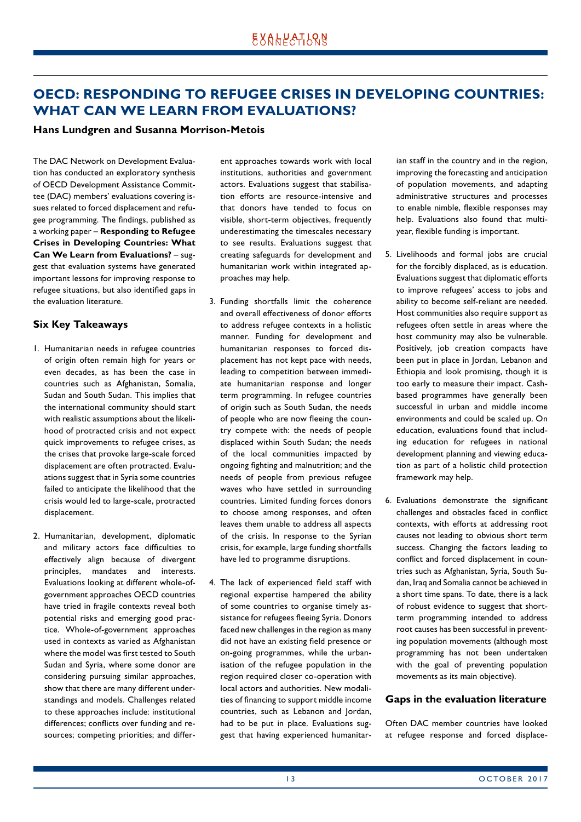# <span id="page-12-0"></span>**OECD: RESPONDING TO REFUGEE CRISES IN DEVELOPING COUNTRIES: WHAT CAN WE LEARN FROM EVALUATIONS?**

#### **Hans Lundgren and Susanna Morrison-Metois**

The DAC Network on Development Evaluation has conducted an exploratory synthesis of OECD Development Assistance Committee (DAC) members' evaluations covering issues related to forced displacement and refugee programming. The findings, published as a working paper – **Responding to Refugee Crises in Developing Countries: What Can We Learn from Evaluations?** – suggest that evaluation systems have generated important lessons for improving response to refugee situations, but also identified gaps in the evaluation literature.

### **Six Key Takeaways**

- 1. Humanitarian needs in refugee countries of origin often remain high for years or even decades, as has been the case in countries such as Afghanistan, Somalia, Sudan and South Sudan. This implies that the international community should start with realistic assumptions about the likelihood of protracted crisis and not expect quick improvements to refugee crises, as the crises that provoke large-scale forced displacement are often protracted. Evaluations suggest that in Syria some countries failed to anticipate the likelihood that the crisis would led to large-scale, protracted displacement.
- 2. Humanitarian, development, diplomatic and military actors face difficulties to effectively align because of divergent principles, mandates and interests. Evaluations looking at different whole-ofgovernment approaches OECD countries have tried in fragile contexts reveal both potential risks and emerging good practice. Whole-of-government approaches used in contexts as varied as Afghanistan where the model was first tested to South Sudan and Syria, where some donor are considering pursuing similar approaches, show that there are many different understandings and models. Challenges related to these approaches include: institutional differences; conflicts over funding and resources; competing priorities; and differ-

ent approaches towards work with local institutions, authorities and government actors. Evaluations suggest that stabilisation efforts are resource-intensive and that donors have tended to focus on visible, short-term objectives, frequently underestimating the timescales necessary to see results. Evaluations suggest that creating safeguards for development and humanitarian work within integrated approaches may help.

- 3. Funding shortfalls limit the coherence and overall effectiveness of donor efforts to address refugee contexts in a holistic manner. Funding for development and humanitarian responses to forced displacement has not kept pace with needs, leading to competition between immediate humanitarian response and longer term programming. In refugee countries of origin such as South Sudan, the needs of people who are now fleeing the country compete with: the needs of people displaced within South Sudan; the needs of the local communities impacted by ongoing fighting and malnutrition; and the needs of people from previous refugee waves who have settled in surrounding countries. Limited funding forces donors to choose among responses, and often leaves them unable to address all aspects of the crisis. In response to the Syrian crisis, for example, large funding shortfalls have led to programme disruptions.
- 4. The lack of experienced field staff with regional expertise hampered the ability of some countries to organise timely assistance for refugees fleeing Syria. Donors faced new challenges in the region as many did not have an existing field presence or on-going programmes, while the urbanisation of the refugee population in the region required closer co-operation with local actors and authorities. New modalities of financing to support middle income countries, such as Lebanon and Jordan, had to be put in place. Evaluations suggest that having experienced humanitar-

ian staff in the country and in the region, improving the forecasting and anticipation of population movements, and adapting administrative structures and processes to enable nimble, flexible responses may help. Evaluations also found that multiyear, flexible funding is important.

- 5. Livelihoods and formal jobs are crucial for the forcibly displaced, as is education. Evaluations suggest that diplomatic efforts to improve refugees' access to jobs and ability to become self-reliant are needed. Host communities also require support as refugees often settle in areas where the host community may also be vulnerable. Positively, job creation compacts have been put in place in Jordan, Lebanon and Ethiopia and look promising, though it is too early to measure their impact. Cashbased programmes have generally been successful in urban and middle income environments and could be scaled up. On education, evaluations found that including education for refugees in national development planning and viewing education as part of a holistic child protection framework may help.
- 6. Evaluations demonstrate the significant challenges and obstacles faced in conflict contexts, with efforts at addressing root causes not leading to obvious short term success. Changing the factors leading to conflict and forced displacement in countries such as Afghanistan, Syria, South Sudan, Iraq and Somalia cannot be achieved in a short time spans. To date, there is a lack of robust evidence to suggest that shortterm programming intended to address root causes has been successful in preventing population movements (although most programming has not been undertaken with the goal of preventing population movements as its main objective).

#### **Gaps in the evaluation literature**

Often DAC member countries have looked at refugee response and forced displace-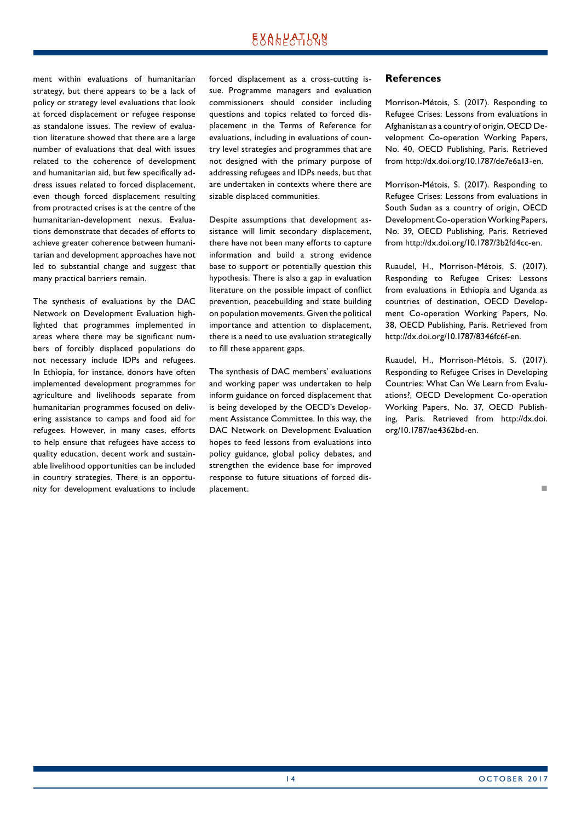# EXALPATLRN

ment within evaluations of humanitarian strategy, but there appears to be a lack of policy or strategy level evaluations that look at forced displacement or refugee response as standalone issues. The review of evaluation literature showed that there are a large number of evaluations that deal with issues related to the coherence of development and humanitarian aid, but few specifically address issues related to forced displacement, even though forced displacement resulting from protracted crises is at the centre of the humanitarian-development nexus. Evaluations demonstrate that decades of efforts to achieve greater coherence between humanitarian and development approaches have not led to substantial change and suggest that many practical barriers remain.

The synthesis of evaluations by the DAC Network on Development Evaluation highlighted that programmes implemented in areas where there may be significant numbers of forcibly displaced populations do not necessary include IDPs and refugees. In Ethiopia, for instance, donors have often implemented development programmes for agriculture and livelihoods separate from humanitarian programmes focused on delivering assistance to camps and food aid for refugees. However, in many cases, efforts to help ensure that refugees have access to quality education, decent work and sustainable livelihood opportunities can be included in country strategies. There is an opportunity for development evaluations to include forced displacement as a cross-cutting issue. Programme managers and evaluation commissioners should consider including questions and topics related to forced displacement in the Terms of Reference for evaluations, including in evaluations of country level strategies and programmes that are not designed with the primary purpose of addressing refugees and IDPs needs, but that are undertaken in contexts where there are sizable displaced communities.

Despite assumptions that development assistance will limit secondary displacement, there have not been many efforts to capture information and build a strong evidence base to support or potentially question this hypothesis. There is also a gap in evaluation literature on the possible impact of conflict prevention, peacebuilding and state building on population movements. Given the political importance and attention to displacement, there is a need to use evaluation strategically to fill these apparent gaps.

The synthesis of DAC members' evaluations and working paper was undertaken to help inform guidance on forced displacement that is being developed by the OECD's Development Assistance Committee. In this way, the DAC Network on Development Evaluation hopes to feed lessons from evaluations into policy guidance, global policy debates, and strengthen the evidence base for improved response to future situations of forced displacement.

### **References**

Morrison-Métois, S. (2017). Responding to Refugee Crises: Lessons from evaluations in Afghanistan as a country of origin, OECD Development Co-operation Working Papers, No. 40, OECD Publishing, Paris. Retrieved from http://dx.doi.org/10.1787/de7e6a13-en.

Morrison-Métois, S. (2017). Responding to Refugee Crises: Lessons from evaluations in South Sudan as a country of origin, OECD Development Co-operation Working Papers, No. 39, OECD Publishing, Paris. Retrieved from http://dx.doi.org/10.1787/3b2fd4cc-en.

Ruaudel, H., Morrison-Métois, S. (2017). Responding to Refugee Crises: Lessons from evaluations in Ethiopia and Uganda as countries of destination, OECD Development Co-operation Working Papers, No. 38, OECD Publishing, Paris. Retrieved from http://dx.doi.org/10.1787/8346fc6f-en.

Ruaudel, H., Morrison-Métois, S. (2017). Responding to Refugee Crises in Developing Countries: What Can We Learn from Evaluations?, OECD Development Co-operation Working Papers, No. 37, OECD Publishing, Paris. Retrieved from http://dx.doi. org/10.1787/ae4362bd-en.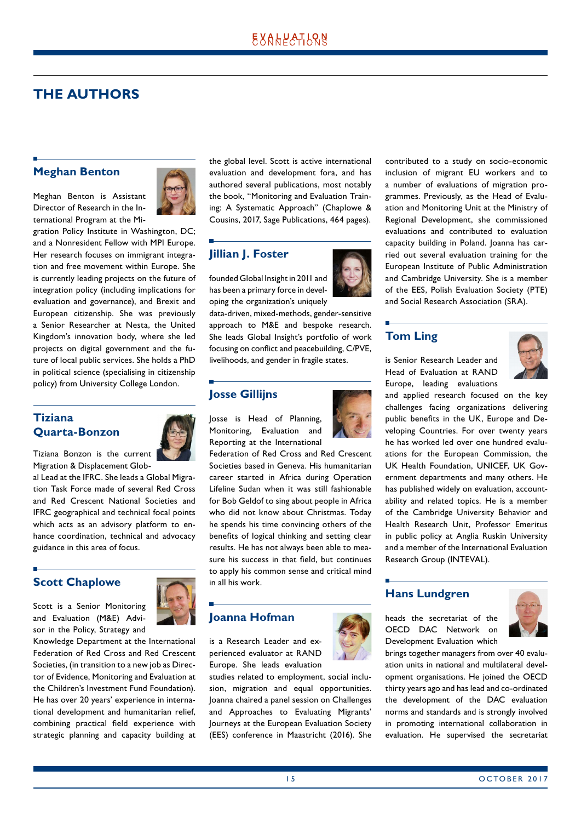# <span id="page-14-0"></span>**THE AUTHORS**

### **Meghan Benton**

Meghan Benton is Assistant Director of Research in the International Program at the Mi-



gration Policy Institute in Washington, DC; and a Nonresident Fellow with MPI Europe. Her research focuses on immigrant integration and free movement within Europe. She is currently leading projects on the future of integration policy (including implications for evaluation and governance), and Brexit and European citizenship. She was previously a Senior Researcher at Nesta, the United Kingdom's innovation body, where she led projects on digital government and the future of local public services. She holds a PhD in political science (specialising in citizenship policy) from University College London.

### **Tiziana Quarta-Bonzon**



Tiziana Bonzon is the current Migration & Displacement Glob-

al Lead at the IFRC. She leads a Global Migration Task Force made of several Red Cross and Red Crescent National Societies and IFRC geographical and technical focal points which acts as an advisory platform to enhance coordination, technical and advocacy guidance in this area of focus.

# **Scott Chaplowe**



Scott is a Senior Monitoring and Evaluation (M&E) Advisor in the Policy, Strategy and

Knowledge Department at the International Federation of Red Cross and Red Crescent Societies, (in transition to a new job as Director of Evidence, Monitoring and Evaluation at the Children's Investment Fund Foundation). He has over 20 years' experience in international development and humanitarian relief, combining practical field experience with strategic planning and capacity building at the global level. Scott is active international evaluation and development fora, and has authored several publications, most notably the book, "Monitoring and Evaluation Training: A Systematic Approach" (Chaplowe & Cousins, 2017, Sage Publications, 464 pages).

# **Jillian J. Foster**

founded Global Insight in 2011 and has been a primary force in developing the organization's uniquely

data-driven, mixed-methods, gender-sensitive approach to M&E and bespoke research. She leads Global Insight's portfolio of work focusing on conflict and peacebuilding, C/PVE, livelihoods, and gender in fragile states.

### **Josse Gillijns**

Josse is Head of Planning, Monitoring, Evaluation and Reporting at the International

Federation of Red Cross and Red Crescent Societies based in Geneva. His humanitarian career started in Africa during Operation Lifeline Sudan when it was still fashionable for Bob Geldof to sing about people in Africa who did not know about Christmas. Today he spends his time convincing others of the benefits of logical thinking and setting clear results. He has not always been able to measure his success in that field, but continues to apply his common sense and critical mind in all his work.

# **Joanna Hofman**

is a Research Leader and experienced evaluator at RAND Europe. She leads evaluation

studies related to employment, social inclusion, migration and equal opportunities. Joanna chaired a panel session on Challenges and Approaches to Evaluating Migrants' Journeys at the European Evaluation Society (EES) conference in Maastricht (2016). She



contributed to a study on socio-economic inclusion of migrant EU workers and to a number of evaluations of migration programmes. Previously, as the Head of Evaluation and Monitoring Unit at the Ministry of Regional Development, she commissioned evaluations and contributed to evaluation capacity building in Poland. Joanna has carried out several evaluation training for the European Institute of Public Administration and Cambridge University. She is a member of the EES, Polish Evaluation Society (PTE) and Social Research Association (SRA).

# **Tom Ling**

is Senior Research Leader and Head of Evaluation at RAND Europe, leading evaluations



and applied research focused on the key challenges facing organizations delivering public benefits in the UK, Europe and Developing Countries. For over twenty years he has worked led over one hundred evaluations for the European Commission, the UK Health Foundation, UNICEF, UK Government departments and many others. He has published widely on evaluation, accountability and related topics. He is a member of the Cambridge University Behavior and Health Research Unit, Professor Emeritus in public policy at Anglia Ruskin University and a member of the International Evaluation Research Group (INTEVAL).

# **Hans Lundgren**

heads the secretariat of the OECD DAC Network on Development Evaluation which



brings together managers from over 40 evaluation units in national and multilateral development organisations. He joined the OECD thirty years ago and has lead and co-ordinated the development of the DAC evaluation norms and standards and is strongly involved in promoting international collaboration in evaluation. He supervised the secretariat